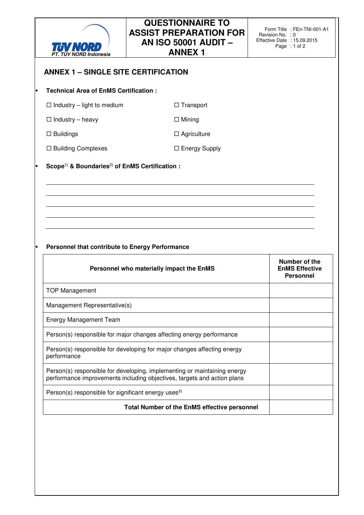

# **QUESTIONNAIRE TO ASSIST PREPARATION FOR AN ISO 50001 AUDIT – ANNEX 1**

### **ANNEX 1 – SINGLE SITE CERTIFICATION**

### **Technical Area of EnMS Certification :**

| $\Box$ Industry – light to medium |  |
|-----------------------------------|--|
|-----------------------------------|--|

 $\square$  Industry – heavy  $\square$  Mining

 $\Box$  Buildings  $\Box$  Agriculture

□ Building Complexes □ Energy Supply

 $\square$  Transport

#### **Scope1) & Boundaries2) of EnMS Certification :**

#### **Personnel that contribute to Energy Performance**

| Personnel who materially impact the EnMS                                                                                                            | Number of the<br><b>EnMS Effective</b><br><b>Personnel</b> |
|-----------------------------------------------------------------------------------------------------------------------------------------------------|------------------------------------------------------------|
| <b>TOP Management</b>                                                                                                                               |                                                            |
| Management Representative(s)                                                                                                                        |                                                            |
| <b>Energy Management Team</b>                                                                                                                       |                                                            |
| Person(s) responsible for major changes affecting energy performance                                                                                |                                                            |
| Person(s) responsible for developing for major changes affecting energy<br>performance                                                              |                                                            |
| Person(s) responsible for developing, implementing or maintaining energy<br>performance improvements including objectives, targets and action plans |                                                            |
| Person(s) responsible for significant energy uses <sup>3)</sup>                                                                                     |                                                            |
| <b>Total Number of the EnMS effective personnel</b>                                                                                                 |                                                            |